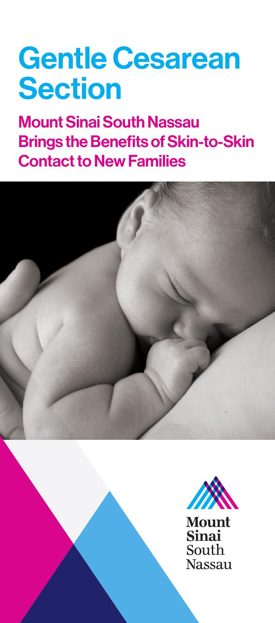# Gentle Cesarean **Section**

Mount Sinai South Nassau Brings the Benefits of Skin-to-Skin Contact to New Families





**Mount Sinai** South **Nassau**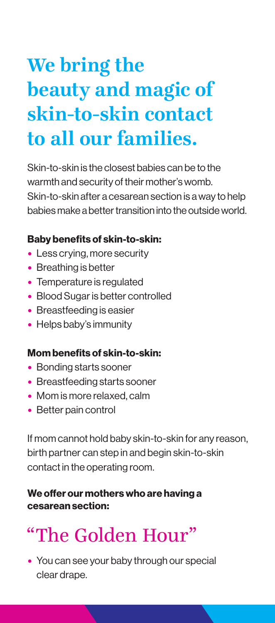# **We bring the beauty and magic of skin-to-skin contact to all our families.**

Skin-to-skin is the closest babies can be to the warmth and security of their mother's womb. Skin-to-skin after a cesarean section is a way to help babies make a better transition into the outside world.

### Baby benefits of skin-to-skin:

- Less crying, more security
- Breathing is better
- Temperature is regulated
- Blood Sugar is better controlled
- Breastfeeding is easier
- Helps baby's immunity

#### Mom benefits of skin-to-skin:

- Bonding starts sooner
- Breastfeeding starts sooner
- Mom is more relaxed, calm
- Better pain control

If mom cannot hold baby skin-to-skin for any reason, birth partner can step in and begin skin-to-skin contact in the operating room.

### We offer our mothers who are having a cesarean section:

# "The Golden Hour"

• You can see your baby through our special clear drape.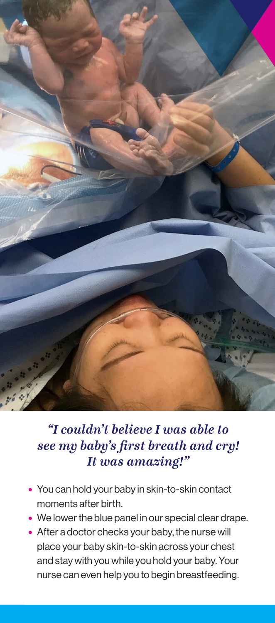

# *"I couldn't believe I was able to see my baby's first breath and cry! It was amazing!"*

- You can hold your baby in skin-to-skin contact moments after birth.
- We lower the blue panel in our special clear drape.
- After a doctor checks your baby, the nurse will place your baby skin-to-skin across your chest and stay with you while you hold your baby. Your nurse can even help you to begin breastfeeding.